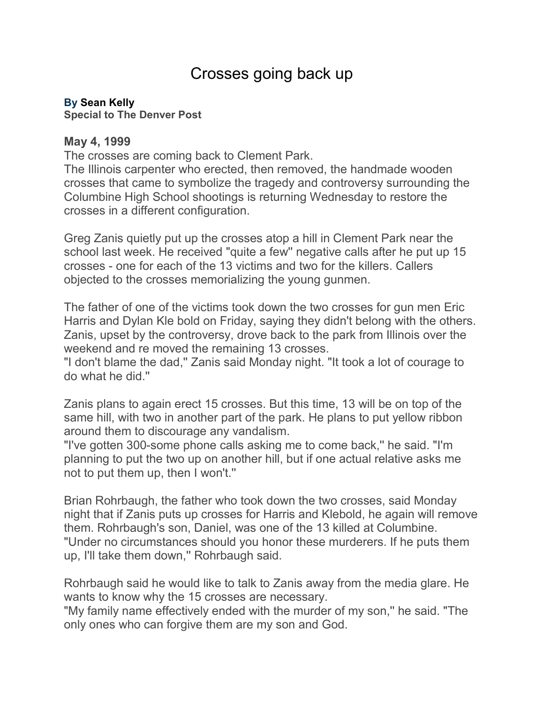## Crosses going back up

## **By [Sean Kelly](mailto:newsroom@denverpost.com)**

**Special to The Denver Post**

## **May 4, 1999**

The crosses are coming back to Clement Park.

The Illinois carpenter who erected, then removed, the handmade wooden crosses that came to symbolize the tragedy and controversy surrounding the Columbine High School shootings is returning Wednesday to restore the crosses in a different configuration.

Greg Zanis quietly put up the crosses atop a hill in Clement Park near the school last week. He received "quite a few'' negative calls after he put up 15 crosses - one for each of the 13 victims and two for the killers. Callers objected to the crosses memorializing the young gunmen.

The father of one of the victims took down the two crosses for gun men Eric Harris and Dylan Kle bold on Friday, saying they didn't belong with the others. Zanis, upset by the controversy, drove back to the park from Illinois over the weekend and re moved the remaining 13 crosses.

"I don't blame the dad,'' Zanis said Monday night. "It took a lot of courage to do what he did.''

Zanis plans to again erect 15 crosses. But this time, 13 will be on top of the same hill, with two in another part of the park. He plans to put yellow ribbon around them to discourage any vandalism.

"I've gotten 300-some phone calls asking me to come back,'' he said. "I'm planning to put the two up on another hill, but if one actual relative asks me not to put them up, then I won't.''

Brian Rohrbaugh, the father who took down the two crosses, said Monday night that if Zanis puts up crosses for Harris and Klebold, he again will remove them. Rohrbaugh's son, Daniel, was one of the 13 killed at Columbine. "Under no circumstances should you honor these murderers. If he puts them up, I'll take them down,'' Rohrbaugh said.

Rohrbaugh said he would like to talk to Zanis away from the media glare. He wants to know why the 15 crosses are necessary.

"My family name effectively ended with the murder of my son,'' he said. "The only ones who can forgive them are my son and God.